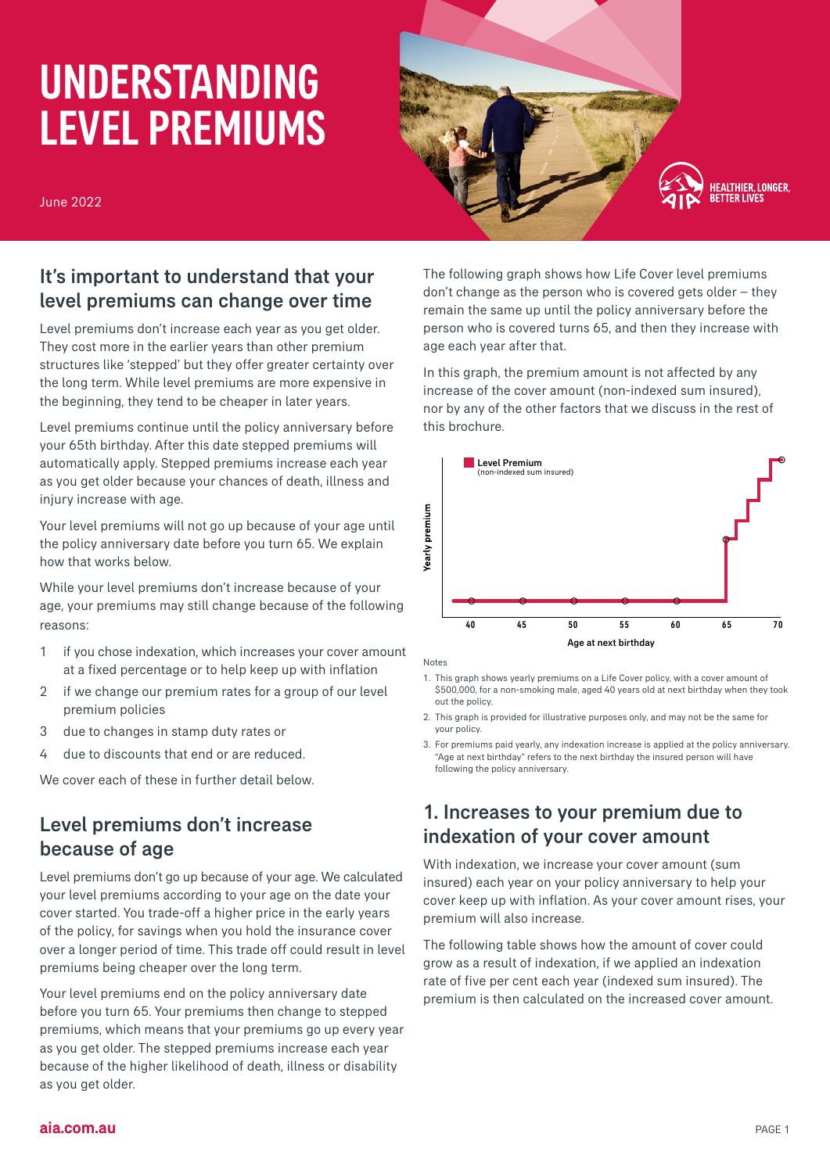# UNDERSTANDING LEVEL PREMIUMS

June 2022



# It's important to understand that your level premiums can change over time

Level premiums don't increase each year as you get older. They cost more in the earlier years than other premium structures like 'stepped' but they offer greater certainty over the long term. While level premiums are more expensive in the beginning, they tend to be cheaper in later years.

Level premiums continue until the policy anniversary before your 65th birthday. After this date stepped premiums will automatically apply. Stepped premiums increase each year as you get older because your chances of death, illness and injury increase with age.

Your level premiums will not go up because of your age until the policy anniversary date before you turn 65. We explain how that works below.

While your level premiums don't increase because of your age, your premiums may still change because of the following reasons:

- 1 if you chose indexation, which increases your cover amount at a fixed percentage or to help keep up with inflation
- 2 if we change our premium rates for a group of our level premium policies
- 3 due to changes in stamp duty rates or
- 4 due to discounts that end or are reduced.

We cover each of these in further detail below.

## Level premiums don't increase because of age

Level premiums don't go up because of your age. We calculated your level premiums according to your age on the date your cover started. You trade-off a higher price in the early years of the policy, for savings when you hold the insurance cover over a longer period of time. This trade off could result in level premiums being cheaper over the long term.

Your level premiums end on the policy anniversary date before you turn 65. Your premiums then change to stepped premiums, which means that your premiums go up every year as you get older. The stepped premiums increase each year because of the higher likelihood of death, illness or disability as you get older.

The following graph shows how Life Cover level premiums don't change as the person who is covered gets older – they remain the same up until the policy anniversary before the person who is covered turns 65, and then they increase with age each year after that.

In this graph, the premium amount is not affected by any increase of the cover amount (non-indexed sum insured), nor by any of the other factors that we discuss in the rest of this brochure.



Notes

- 1. This graph shows yearly premiums on a Life Cover policy, with a cover amount of \$500,000, for a non-smoking male, aged 40 years old at next birthday when they took out the policy.
- 2. This graph is provided for illustrative purposes only, and may not be the same for your policy.
- 3. For premiums paid yearly, any indexation increase is applied at the policy anniversary. "Age at next birthday" refers to the next birthday the insured person will have following the policy anniversary.

# 1. Increases to your premium due to indexation of your cover amount

With indexation, we increase your cover amount (sum insured) each year on your policy anniversary to help your cover keep up with inflation. As your cover amount rises, your premium will also increase.

The following table shows how the amount of cover could grow as a result of indexation, if we applied an indexation rate of five per cent each year (indexed sum insured). The premium is then calculated on the increased cover amount.